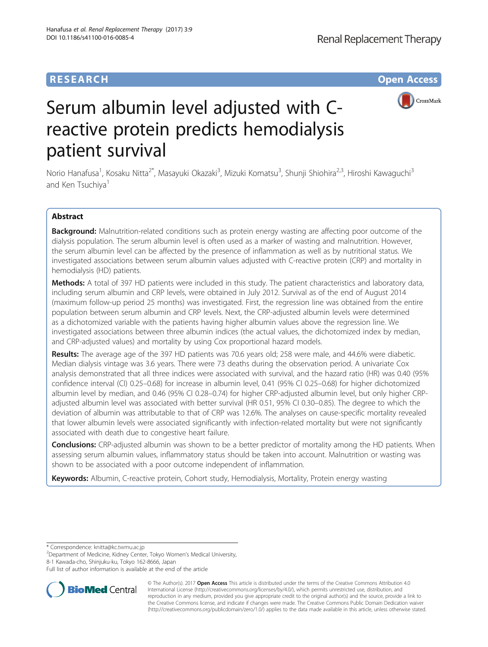## **RESEARCH CHE Open Access**



# Serum albumin level adjusted with Creactive protein predicts hemodialysis patient survival

Norio Hanafusa<sup>1</sup>, Kosaku Nitta<sup>2\*</sup>, Masayuki Okazaki<sup>3</sup>, Mizuki Komatsu<sup>3</sup>, Shunji Shiohira<sup>2,3</sup>, Hiroshi Kawaguchi<sup>3</sup> and Ken Tsuchiya<sup>1</sup>

## Abstract

Background: Malnutrition-related conditions such as protein energy wasting are affecting poor outcome of the dialysis population. The serum albumin level is often used as a marker of wasting and malnutrition. However, the serum albumin level can be affected by the presence of inflammation as well as by nutritional status. We investigated associations between serum albumin values adjusted with C-reactive protein (CRP) and mortality in hemodialysis (HD) patients.

Methods: A total of 397 HD patients were included in this study. The patient characteristics and laboratory data, including serum albumin and CRP levels, were obtained in July 2012. Survival as of the end of August 2014 (maximum follow-up period 25 months) was investigated. First, the regression line was obtained from the entire population between serum albumin and CRP levels. Next, the CRP-adjusted albumin levels were determined as a dichotomized variable with the patients having higher albumin values above the regression line. We investigated associations between three albumin indices (the actual values, the dichotomized index by median, and CRP-adjusted values) and mortality by using Cox proportional hazard models.

Results: The average age of the 397 HD patients was 70.6 years old; 258 were male, and 44.6% were diabetic. Median dialysis vintage was 3.6 years. There were 73 deaths during the observation period. A univariate Cox analysis demonstrated that all three indices were associated with survival, and the hazard ratio (HR) was 0.40 (95% confidence interval (CI) 0.25–0.68) for increase in albumin level, 0.41 (95% CI 0.25–0.68) for higher dichotomized albumin level by median, and 0.46 (95% CI 0.28–0.74) for higher CRP-adjusted albumin level, but only higher CRPadjusted albumin level was associated with better survival (HR 0.51, 95% CI 0.30–0.85). The degree to which the deviation of albumin was attributable to that of CRP was 12.6%. The analyses on cause-specific mortality revealed that lower albumin levels were associated significantly with infection-related mortality but were not significantly associated with death due to congestive heart failure.

**Conclusions:** CRP-adjusted albumin was shown to be a better predictor of mortality among the HD patients. When assessing serum albumin values, inflammatory status should be taken into account. Malnutrition or wasting was shown to be associated with a poor outcome independent of inflammation.

Keywords: Albumin, C-reactive protein, Cohort study, Hemodialysis, Mortality, Protein energy wasting

\* Correspondence: [knitta@kc.twmu.ac.jp](mailto:knitta@kc.twmu.ac.jp) <sup>2</sup>

<sup>2</sup>Department of Medicine, Kidney Center, Tokyo Women's Medical University,

8-1 Kawada-cho, Shinjuku-ku, Tokyo 162-8666, Japan

Full list of author information is available at the end of the article



© The Author(s). 2017 **Open Access** This article is distributed under the terms of the Creative Commons Attribution 4.0 International License [\(http://creativecommons.org/licenses/by/4.0/](http://creativecommons.org/licenses/by/4.0/)), which permits unrestricted use, distribution, and reproduction in any medium, provided you give appropriate credit to the original author(s) and the source, provide a link to the Creative Commons license, and indicate if changes were made. The Creative Commons Public Domain Dedication waiver [\(http://creativecommons.org/publicdomain/zero/1.0/](http://creativecommons.org/publicdomain/zero/1.0/)) applies to the data made available in this article, unless otherwise stated.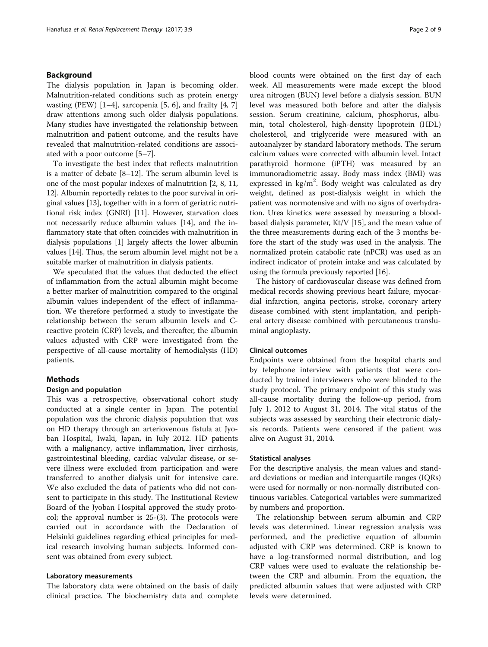## Background

The dialysis population in Japan is becoming older. Malnutrition-related conditions such as protein energy wasting (PEW)  $[1-4]$  $[1-4]$  $[1-4]$  $[1-4]$ , sarcopenia [\[5](#page-8-0), [6\]](#page-8-0), and frailty [[4, 7](#page-8-0)] draw attentions among such older dialysis populations. Many studies have investigated the relationship between malnutrition and patient outcome, and the results have revealed that malnutrition-related conditions are associated with a poor outcome [[5](#page-8-0)–[7\]](#page-8-0).

To investigate the best index that reflects malnutrition is a matter of debate [[8](#page-8-0)–[12](#page-8-0)]. The serum albumin level is one of the most popular indexes of malnutrition [[2, 8, 11](#page-8-0), [12](#page-8-0)]. Albumin reportedly relates to the poor survival in original values [[13](#page-8-0)], together with in a form of geriatric nutritional risk index (GNRI) [\[11\]](#page-8-0). However, starvation does not necessarily reduce albumin values [\[14\]](#page-8-0), and the inflammatory state that often coincides with malnutrition in dialysis populations [\[1](#page-8-0)] largely affects the lower albumin values [\[14\]](#page-8-0). Thus, the serum albumin level might not be a suitable marker of malnutrition in dialysis patients.

We speculated that the values that deducted the effect of inflammation from the actual albumin might become a better marker of malnutrition compared to the original albumin values independent of the effect of inflammation. We therefore performed a study to investigate the relationship between the serum albumin levels and Creactive protein (CRP) levels, and thereafter, the albumin values adjusted with CRP were investigated from the perspective of all-cause mortality of hemodialysis (HD) patients.

## Methods

## Design and population

This was a retrospective, observational cohort study conducted at a single center in Japan. The potential population was the chronic dialysis population that was on HD therapy through an arteriovenous fistula at Jyoban Hospital, Iwaki, Japan, in July 2012. HD patients with a malignancy, active inflammation, liver cirrhosis, gastrointestinal bleeding, cardiac valvular disease, or severe illness were excluded from participation and were transferred to another dialysis unit for intensive care. We also excluded the data of patients who did not consent to participate in this study. The Institutional Review Board of the Jyoban Hospital approved the study protocol; the approval number is 25-(3). The protocols were carried out in accordance with the Declaration of Helsinki guidelines regarding ethical principles for medical research involving human subjects. Informed consent was obtained from every subject.

## Laboratory measurements

The laboratory data were obtained on the basis of daily clinical practice. The biochemistry data and complete blood counts were obtained on the first day of each week. All measurements were made except the blood urea nitrogen (BUN) level before a dialysis session. BUN level was measured both before and after the dialysis session. Serum creatinine, calcium, phosphorus, albumin, total cholesterol, high-density lipoprotein (HDL) cholesterol, and triglyceride were measured with an autoanalyzer by standard laboratory methods. The serum calcium values were corrected with albumin level. Intact parathyroid hormone (iPTH) was measured by an immunoradiometric assay. Body mass index (BMI) was expressed in  $\text{kg/m}^2$ . Body weight was calculated as dry weight, defined as post-dialysis weight in which the patient was normotensive and with no signs of overhydration. Urea kinetics were assessed by measuring a bloodbased dialysis parameter, Kt/V [[15](#page-8-0)], and the mean value of the three measurements during each of the 3 months before the start of the study was used in the analysis. The normalized protein catabolic rate (nPCR) was used as an indirect indicator of protein intake and was calculated by using the formula previously reported [\[16\]](#page-8-0).

The history of cardiovascular disease was defined from medical records showing previous heart failure, myocardial infarction, angina pectoris, stroke, coronary artery disease combined with stent implantation, and peripheral artery disease combined with percutaneous transluminal angioplasty.

## Clinical outcomes

Endpoints were obtained from the hospital charts and by telephone interview with patients that were conducted by trained interviewers who were blinded to the study protocol. The primary endpoint of this study was all-cause mortality during the follow-up period, from July 1, 2012 to August 31, 2014. The vital status of the subjects was assessed by searching their electronic dialysis records. Patients were censored if the patient was alive on August 31, 2014.

#### Statistical analyses

For the descriptive analysis, the mean values and standard deviations or median and interquartile ranges (IQRs) were used for normally or non-normally distributed continuous variables. Categorical variables were summarized by numbers and proportion.

The relationship between serum albumin and CRP levels was determined. Linear regression analysis was performed, and the predictive equation of albumin adjusted with CRP was determined. CRP is known to have a log-transformed normal distribution, and log CRP values were used to evaluate the relationship between the CRP and albumin. From the equation, the predicted albumin values that were adjusted with CRP levels were determined.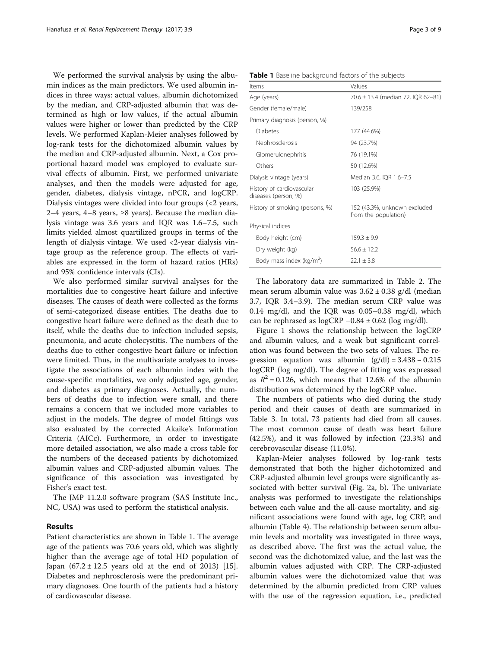We performed the survival analysis by using the albumin indices as the main predictors. We used albumin indices in three ways: actual values, albumin dichotomized by the median, and CRP-adjusted albumin that was determined as high or low values, if the actual albumin values were higher or lower than predicted by the CRP levels. We performed Kaplan-Meier analyses followed by log-rank tests for the dichotomized albumin values by the median and CRP-adjusted albumin. Next, a Cox proportional hazard model was employed to evaluate survival effects of albumin. First, we performed univariate analyses, and then the models were adjusted for age, gender, diabetes, dialysis vintage, nPCR, and logCRP. Dialysis vintages were divided into four groups (<2 years, 2–4 years, 4–8 years, ≥8 years). Because the median dialysis vintage was 3.6 years and IQR was 1.6–7.5, such limits yielded almost quartilized groups in terms of the length of dialysis vintage. We used <2-year dialysis vintage group as the reference group. The effects of variables are expressed in the form of hazard ratios (HRs) and 95% confidence intervals (CIs).

We also performed similar survival analyses for the mortalities due to congestive heart failure and infective diseases. The causes of death were collected as the forms of semi-categorized disease entities. The deaths due to congestive heart failure were defined as the death due to itself, while the deaths due to infection included sepsis, pneumonia, and acute cholecystitis. The numbers of the deaths due to either congestive heart failure or infection were limited. Thus, in the multivariate analyses to investigate the associations of each albumin index with the cause-specific mortalities, we only adjusted age, gender, and diabetes as primary diagnoses. Actually, the numbers of deaths due to infection were small, and there remains a concern that we included more variables to adjust in the models. The degree of model fittings was also evaluated by the corrected Akaike's Information Criteria (AICc). Furthermore, in order to investigate more detailed association, we also made a cross table for the numbers of the deceased patients by dichotomized albumin values and CRP-adjusted albumin values. The significance of this association was investigated by Fisher's exact test.

The JMP 11.2.0 software program (SAS Institute Inc., NC, USA) was used to perform the statistical analysis.

## Results

Patient characteristics are shown in Table 1. The average age of the patients was 70.6 years old, which was slightly higher than the average age of total HD population of Japan  $(67.2 \pm 12.5)$  years old at the end of 2013) [\[15](#page-8-0)]. Diabetes and nephrosclerosis were the predominant primary diagnoses. One fourth of the patients had a history of cardiovascular disease.

|  |  |  | Table 1 Baseline background factors of the subjects |  |  |  |
|--|--|--|-----------------------------------------------------|--|--|--|
|--|--|--|-----------------------------------------------------|--|--|--|

| Items                                             | Values                                               |  |  |
|---------------------------------------------------|------------------------------------------------------|--|--|
| Age (years)                                       | 70.6 ± 13.4 (median 72, IQR 62-81)                   |  |  |
| Gender (female/male)                              | 139/258                                              |  |  |
| Primary diagnosis (person, %)                     |                                                      |  |  |
| Diabetes                                          | 177 (44.6%)                                          |  |  |
| Nephrosclerosis                                   | 94 (23.7%)                                           |  |  |
| Glomerulonephritis                                | 76 (19.1%)                                           |  |  |
| Others                                            | 50 (12.6%)                                           |  |  |
| Dialysis vintage (years)                          | Median 3.6, IQR 1.6-7.5                              |  |  |
| History of cardiovascular<br>diseases (person, %) | 103 (25.9%)                                          |  |  |
| History of smoking (persons, %)                   | 152 (43.3%, unknown excluded<br>from the population) |  |  |
| Physical indices                                  |                                                      |  |  |
| Body height (cm)                                  | $159.3 + 9.9$                                        |  |  |
| Dry weight (kg)                                   | $56.6 \pm 12.2$                                      |  |  |
| Body mass index (kg/m <sup>2</sup> )              | $22.1 + 3.8$                                         |  |  |

The laboratory data are summarized in Table [2.](#page-3-0) The mean serum albumin value was  $3.62 \pm 0.38$  g/dl (median 3.7, IQR 3.4–3.9). The median serum CRP value was 0.14 mg/dl, and the IQR was 0.05–0.38 mg/dl, which can be rephrased as  $logCRP -0.84 \pm 0.62$  (log mg/dl).

Figure [1](#page-3-0) shows the relationship between the logCRP and albumin values, and a weak but significant correlation was found between the two sets of values. The regression equation was albumin  $(g/dl) = 3.438 - 0.215$ logCRP (log mg/dl). The degree of fitting was expressed as  $R^2 = 0.126$ , which means that 12.6% of the albumin distribution was determined by the logCRP value.

The numbers of patients who died during the study period and their causes of death are summarized in Table [3](#page-4-0). In total, 73 patients had died from all causes. The most common cause of death was heart failure (42.5%), and it was followed by infection (23.3%) and cerebrovascular disease (11.0%).

Kaplan-Meier analyses followed by log-rank tests demonstrated that both the higher dichotomized and CRP-adjusted albumin level groups were significantly associated with better survival (Fig. [2a, b\)](#page-5-0). The univariate analysis was performed to investigate the relationships between each value and the all-cause mortality, and significant associations were found with age, log CRP, and albumin (Table [4](#page-6-0)). The relationship between serum albumin levels and mortality was investigated in three ways, as described above. The first was the actual value, the second was the dichotomized value, and the last was the albumin values adjusted with CRP. The CRP-adjusted albumin values were the dichotomized value that was determined by the albumin predicted from CRP values with the use of the regression equation, i.e., predicted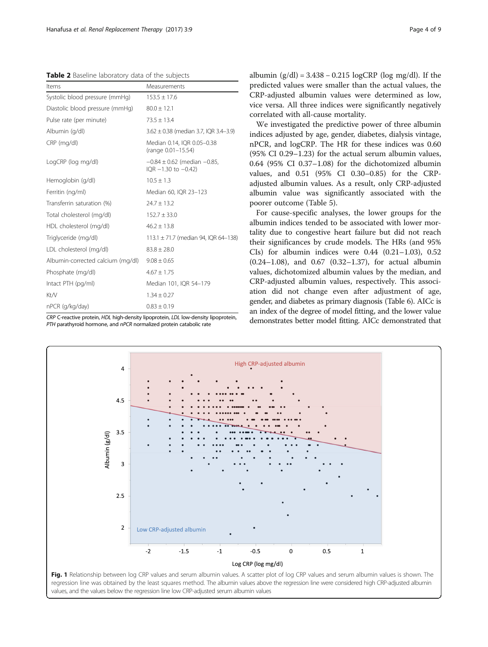<span id="page-3-0"></span>Table 2 Baseline laboratory data of the subjects

| Items                             | Measurements                                                    |
|-----------------------------------|-----------------------------------------------------------------|
| Systolic blood pressure (mmHq)    | $153.5 \pm 17.6$                                                |
| Diastolic blood pressure (mmHg)   | $80.0 \pm 12.1$                                                 |
| Pulse rate (per minute)           | $73.5 \pm 13.4$                                                 |
| Albumin (g/dl)                    | $3.62 \pm 0.38$ (median 3.7, IQR 3.4-3.9)                       |
| CRP (mg/dl)                       | Median 0.14, IQR 0.05-0.38<br>(range 0.01-15.54)                |
| LogCRP (log mg/dl)                | $-0.84 \pm 0.62$ (median $-0.85$ ,<br>$IQR - 1.30$ to $-0.42$ ) |
| Hemoglobin (g/dl)                 | $10.5 \pm 1.3$                                                  |
| Ferritin (ng/ml)                  | Median 60, IQR 23-123                                           |
| Transferrin saturation (%)        | $24.7 \pm 13.2$                                                 |
| Total cholesterol (mg/dl)         | $152.7 \pm 33.0$                                                |
| HDL cholesterol (mg/dl)           | $46.2 \pm 13.8$                                                 |
| Triglyceride (mg/dl)              | 113.1 $\pm$ 71.7 (median 94, IQR 64-138)                        |
| LDL cholesterol (mg/dl)           | $83.8 \pm 28.0$                                                 |
| Albumin-corrected calcium (mg/dl) | $9.08 \pm 0.65$                                                 |
| Phosphate (mg/dl)                 | $4.67 \pm 1.75$                                                 |
| Intact PTH (pg/ml)                | Median 101, IQR 54-179                                          |
| Kt/V                              | $1.34 \pm 0.27$                                                 |
| nPCR (q/kg/day)                   | $0.83 \pm 0.19$                                                 |

CRP C-reactive protein, HDL high-density lipoprotein, LDL low-density lipoprotein, PTH parathyroid hormone, and nPCR normalized protein catabolic rate

albumin  $(g/dl) = 3.438 - 0.215 \log CRP$  (log mg/dl). If the predicted values were smaller than the actual values, the CRP-adjusted albumin values were determined as low, vice versa. All three indices were significantly negatively correlated with all-cause mortality.

We investigated the predictive power of three albumin indices adjusted by age, gender, diabetes, dialysis vintage, nPCR, and logCRP. The HR for these indices was 0.60 (95% CI 0.29–1.23) for the actual serum albumin values, 0.64 (95% CI 0.37–1.08) for the dichotomized albumin values, and 0.51 (95% CI 0.30–0.85) for the CRPadjusted albumin values. As a result, only CRP-adjusted albumin value was significantly associated with the poorer outcome (Table [5\)](#page-6-0).

For cause-specific analyses, the lower groups for the albumin indices tended to be associated with lower mortality due to congestive heart failure but did not reach their significances by crude models. The HRs (and 95% CIs) for albumin indices were  $0.44$   $(0.21-1.03)$ ,  $0.52$ (0.24–1.08), and 0.67 (0.32–1.37), for actual albumin values, dichotomized albumin values by the median, and CRP-adjusted albumin values, respectively. This association did not change even after adjustment of age, gender, and diabetes as primary diagnosis (Table [6](#page-6-0)). AICc is an index of the degree of model fitting, and the lower value demonstrates better model fitting. AICc demonstrated that

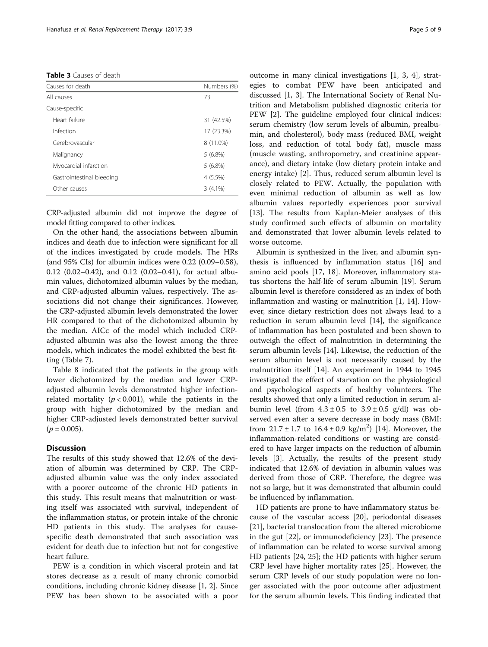<span id="page-4-0"></span>Table 3 Causes of death

| Causes for death          | Numbers (%) |  |
|---------------------------|-------------|--|
| All causes                | 73          |  |
| Cause-specific            |             |  |
| Heart failure             | 31 (42.5%)  |  |
| Infection                 | 17 (23.3%)  |  |
| Cerebrovascular           | 8 (11.0%)   |  |
| Malignancy                | $5(6.8\%)$  |  |
| Myocardial infarction     | $5(6.8\%)$  |  |
| Gastrointestinal bleeding | 4 (5.5%)    |  |
| Other causes              | $3(4.1\%)$  |  |

CRP-adjusted albumin did not improve the degree of model fitting compared to other indices.

On the other hand, the associations between albumin indices and death due to infection were significant for all of the indices investigated by crude models. The HRs (and 95% CIs) for albumin indices were 0.22 (0.09–0.58), 0.12 (0.02–0.42), and 0.12 (0.02–0.41), for actual albumin values, dichotomized albumin values by the median, and CRP-adjusted albumin values, respectively. The associations did not change their significances. However, the CRP-adjusted albumin levels demonstrated the lower HR compared to that of the dichotomized albumin by the median. AICc of the model which included CRPadjusted albumin was also the lowest among the three models, which indicates the model exhibited the best fitting (Table [7\)](#page-6-0).

Table [8](#page-7-0) indicated that the patients in the group with lower dichotomized by the median and lower CRPadjusted albumin levels demonstrated higher infectionrelated mortality ( $p < 0.001$ ), while the patients in the group with higher dichotomized by the median and higher CRP-adjusted levels demonstrated better survival  $(p = 0.005)$ .

## **Discussion**

The results of this study showed that 12.6% of the deviation of albumin was determined by CRP. The CRPadjusted albumin value was the only index associated with a poorer outcome of the chronic HD patients in this study. This result means that malnutrition or wasting itself was associated with survival, independent of the inflammation status, or protein intake of the chronic HD patients in this study. The analyses for causespecific death demonstrated that such association was evident for death due to infection but not for congestive heart failure.

PEW is a condition in which visceral protein and fat stores decrease as a result of many chronic comorbid conditions, including chronic kidney disease [\[1](#page-8-0), [2](#page-8-0)]. Since PEW has been shown to be associated with a poor outcome in many clinical investigations [[1, 3](#page-8-0), [4](#page-8-0)], strategies to combat PEW have been anticipated and discussed [\[1, 3\]](#page-8-0). The International Society of Renal Nutrition and Metabolism published diagnostic criteria for PEW [\[2](#page-8-0)]. The guideline employed four clinical indices: serum chemistry (low serum levels of albumin, prealbumin, and cholesterol), body mass (reduced BMI, weight loss, and reduction of total body fat), muscle mass (muscle wasting, anthropometry, and creatinine appearance), and dietary intake (low dietary protein intake and energy intake) [\[2](#page-8-0)]. Thus, reduced serum albumin level is closely related to PEW. Actually, the population with even minimal reduction of albumin as well as low albumin values reportedly experiences poor survival [[13\]](#page-8-0). The results from Kaplan-Meier analyses of this study confirmed such effects of albumin on mortality and demonstrated that lower albumin levels related to worse outcome.

Albumin is synthesized in the liver, and albumin synthesis is influenced by inflammation status [\[16](#page-8-0)] and amino acid pools [\[17, 18\]](#page-8-0). Moreover, inflammatory status shortens the half-life of serum albumin [[19\]](#page-8-0). Serum albumin level is therefore considered as an index of both inflammation and wasting or malnutrition [\[1](#page-8-0), [14\]](#page-8-0). However, since dietary restriction does not always lead to a reduction in serum albumin level [\[14](#page-8-0)], the significance of inflammation has been postulated and been shown to outweigh the effect of malnutrition in determining the serum albumin levels [\[14\]](#page-8-0). Likewise, the reduction of the serum albumin level is not necessarily caused by the malnutrition itself [\[14](#page-8-0)]. An experiment in 1944 to 1945 investigated the effect of starvation on the physiological and psychological aspects of healthy volunteers. The results showed that only a limited reduction in serum albumin level (from  $4.3 \pm 0.5$  to  $3.9 \pm 0.5$  g/dl) was observed even after a severe decrease in body mass (BMI: from  $21.7 \pm 1.7$  to  $16.4 \pm 0.9$  kg/m<sup>2</sup>) [\[14\]](#page-8-0). Moreover, the inflammation-related conditions or wasting are considered to have larger impacts on the reduction of albumin levels [\[3](#page-8-0)]. Actually, the results of the present study indicated that 12.6% of deviation in albumin values was derived from those of CRP. Therefore, the degree was not so large, but it was demonstrated that albumin could be influenced by inflammation.

HD patients are prone to have inflammatory status because of the vascular access [\[20](#page-8-0)], periodontal diseases [[21\]](#page-8-0), bacterial translocation from the altered microbiome in the gut [\[22\]](#page-8-0), or immunodeficiency [[23\]](#page-8-0). The presence of inflammation can be related to worse survival among HD patients [[24, 25\]](#page-8-0); the HD patients with higher serum CRP level have higher mortality rates [[25\]](#page-8-0). However, the serum CRP levels of our study population were no longer associated with the poor outcome after adjustment for the serum albumin levels. This finding indicated that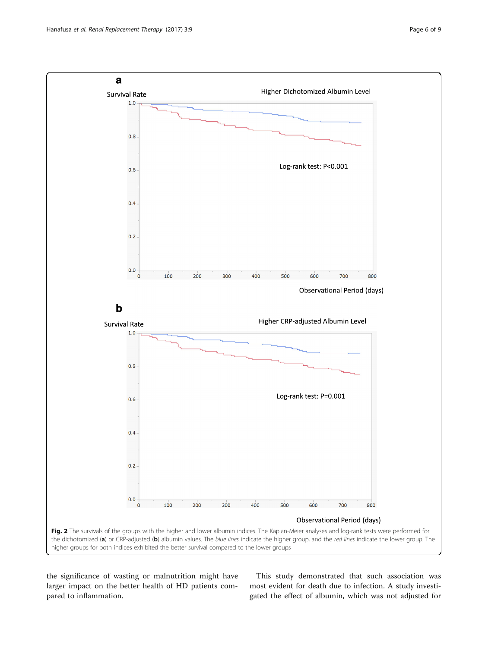<span id="page-5-0"></span>

the significance of wasting or malnutrition might have larger impact on the better health of HD patients compared to inflammation.

This study demonstrated that such association was most evident for death due to infection. A study investigated the effect of albumin, which was not adjusted for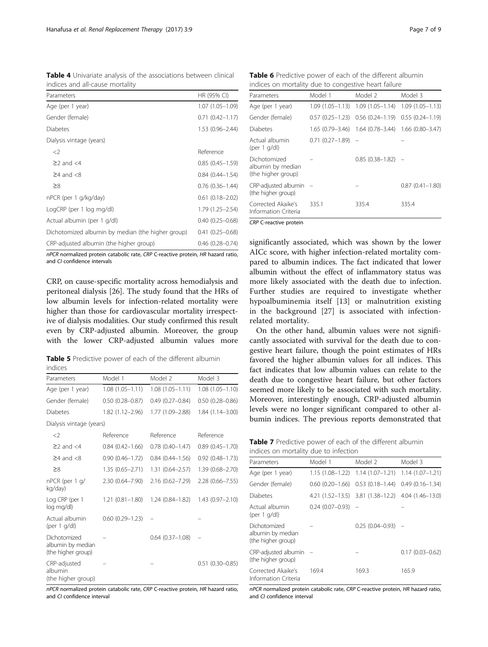<span id="page-6-0"></span>

| Table 4 Univariate analysis of the associations between clinical |  |  |  |
|------------------------------------------------------------------|--|--|--|
| indices and all-cause mortality                                  |  |  |  |

| Parameters                                        | HR (95% CI)            |
|---------------------------------------------------|------------------------|
| Age (per 1 year)                                  | $1.07(1.05 - 1.09)$    |
| Gender (female)                                   | $0.71(0.42 - 1.17)$    |
| <b>Diabetes</b>                                   | $1.53(0.96 - 2.44)$    |
| Dialysis vintage (years)                          |                        |
| $<$ 2                                             | Reference              |
| $\geq$ 2 and $\lt$ 4                              | $0.85(0.45 - 1.59)$    |
| $\geq$ 4 and $\lt$ 8                              | $0.84(0.44 - 1.54)$    |
| $\geq 8$                                          | $0.76$ $(0.36 - 1.44)$ |
| nPCR (per 1 g/kg/day)                             | $0.61(0.18 - 2.02)$    |
| LogCRP (per 1 log mg/dl)                          | 1.79 (1.25 - 2.54)     |
| Actual albumin (per 1 g/dl)                       | $0.40(0.25 - 0.68)$    |
| Dichotomized albumin by median (the higher group) | $0.41(0.25 - 0.68)$    |
| CRP-adjusted albumin (the higher group)           | $0.46$ $(0.28 - 0.74)$ |

nPCR normalized protein catabolic rate, CRP C-reactive protein, HR hazard ratio, and CI confidence intervals

CRP, on cause-specific mortality across hemodialysis and peritoneal dialysis [\[26](#page-8-0)]. The study found that the HRs of low albumin levels for infection-related mortality were higher than those for cardiovascular mortality irrespective of dialysis modalities. Our study confirmed this result even by CRP-adjusted albumin. Moreover, the group with the lower CRP-adjusted albumin values more

Table 5 Predictive power of each of the different albumin indices

| Parameters                                              | Model 1             | Model 2             | Model 3                |
|---------------------------------------------------------|---------------------|---------------------|------------------------|
| Age (per 1 year)                                        | $1.08(1.05 - 1.11)$ | $1.08(1.05 - 1.11)$ | $1.08(1.05 - 1.10)$    |
| Gender (female)                                         | $0.50(0.28 - 0.87)$ | $0.49(0.27-0.84)$   | $0.50$ $(0.28 - 0.86)$ |
| <b>Diabetes</b>                                         | 1.82 (1.12–2.96)    | 1.77 (1.09–2.88)    | $1.84(1.14 - 3.00)$    |
| Dialysis vintage (years)                                |                     |                     |                        |
| $<$ 2                                                   | Reference           | Reference           | Reference              |
| $\geq$ 2 and $\lt$ 4                                    | $0.84(0.42 - 1.66)$ | $0.78(0.40 - 1.47)$ | $0.89(0.45 - 1.70)$    |
| $\geq$ 4 and <8                                         | $0.90(0.46 - 1.72)$ | $0.84(0.44 - 1.56)$ | $0.92$ $(0.48 - 1.73)$ |
| $\geq$ 8                                                | $1.35(0.65 - 2.71)$ | $1.31(0.64 - 2.57)$ | $1.39(0.68 - 2.70)$    |
| nPCR (per 1 g/<br>kg/day)                               | $2.30(0.64 - 7.90)$ | $2.16(0.62 - 7.29)$ | $2.28(0.66 - 7.55)$    |
| Log CRP (per 1<br>log mg/dl)                            | $1.21(0.81 - 1.80)$ | 1.24 (0.84–1.82)    | $1.43(0.97 - 2.10)$    |
| Actual albumin<br>(per $1$ g/dl)                        | $0.60(0.29 - 1.23)$ |                     |                        |
| Dichotomized<br>albumin by median<br>(the higher group) |                     | $0.64(0.37 - 1.08)$ |                        |
| CRP-adjusted<br>albumin<br>(the higher group)           |                     |                     | $0.51$ $(0.30 - 0.85)$ |

nPCR normalized protein catabolic rate, CRP C-reactive protein, HR hazard ratio, and CI confidence interval

Table 6 Predictive power of each of the different albumin indices on mortality due to congestive heart failure

| Parameters                                              | Model 1             | Model 2                             | Model 3                               |
|---------------------------------------------------------|---------------------|-------------------------------------|---------------------------------------|
| Age (per 1 year)                                        | $1.09(1.05 - 1.13)$ | $1.09(1.05 - 1.14)$                 | $1.09(1.05 - 1.13)$                   |
| Gender (female)                                         |                     | $0.57(0.25-1.23)$ $0.56(0.24-1.19)$ | $0.55(0.24 - 1.19)$                   |
| Diabetes                                                | $1.65(0.79 - 3.46)$ |                                     | $1.64$ (0.78-3.44) $1.66$ (0.80-3.47) |
| Actual albumin<br>(per 1 $q/dl$ )                       | $0.71(0.27-1.89)$ - |                                     |                                       |
| Dichotomized<br>albumin by median<br>(the higher group) |                     | $0.85(0.38-1.82)$ -                 |                                       |
| $CRP$ -adjusted albumin $-$<br>(the higher group)       |                     |                                     | $0.87(0.41 - 1.80)$                   |
| Corrected Akaike's<br>Information Criteria              | 335.1               | 335.4                               | 335.4                                 |
| CRP C-reactive protein                                  |                     |                                     |                                       |

significantly associated, which was shown by the lower AICc score, with higher infection-related mortality compared to albumin indices. The fact indicated that lower albumin without the effect of inflammatory status was more likely associated with the death due to infection. Further studies are required to investigate whether hypoalbuminemia itself [\[13](#page-8-0)] or malnutrition existing in the background [\[27](#page-8-0)] is associated with infectionrelated mortality.

On the other hand, albumin values were not significantly associated with survival for the death due to congestive heart failure, though the point estimates of HRs favored the higher albumin values for all indices. This fact indicates that low albumin values can relate to the death due to congestive heart failure, but other factors seemed more likely to be associated with such mortality. Moreover, interestingly enough, CRP-adjusted albumin levels were no longer significant compared to other albumin indices. The previous reports demonstrated that

| Table 7 Predictive power of each of the different albumin |  |  |  |
|-----------------------------------------------------------|--|--|--|
| indices on mortality due to infection                     |  |  |  |

| Parameters                                              | Model 1             | Model 2                                                  | Model 3             |
|---------------------------------------------------------|---------------------|----------------------------------------------------------|---------------------|
| Age (per 1 year)                                        |                     | $1.15(1.08-1.22)$ $1.14(1.07-1.21)$ $1.14(1.07-1.21)$    |                     |
| Gender (female)                                         |                     | $0.60$ (0.20-1.66) $0.53$ (0.18-1.44) $0.49$ (0.16-1.34) |                     |
| <b>Diabetes</b>                                         |                     | 4.21 (1.52-13.5) 3.81 (1.38-12.2) 4.04 (1.46-13.0)       |                     |
| Actual albumin<br>(per $1$ g/dl)                        | $0.24(0.07-0.93) -$ |                                                          |                     |
| Dichotomized<br>albumin by median<br>(the higher group) |                     | $0.25(0.04 - 0.93)$ -                                    |                     |
| CRP-adjusted albumin<br>(the higher group)              |                     |                                                          | $0.17(0.03 - 0.62)$ |
| Corrected Akaike's<br>Information Criteria              | 169.4               | 169.3                                                    | 165.9               |

nPCR normalized protein catabolic rate, CRP C-reactive protein, HR hazard ratio, and CI confidence interval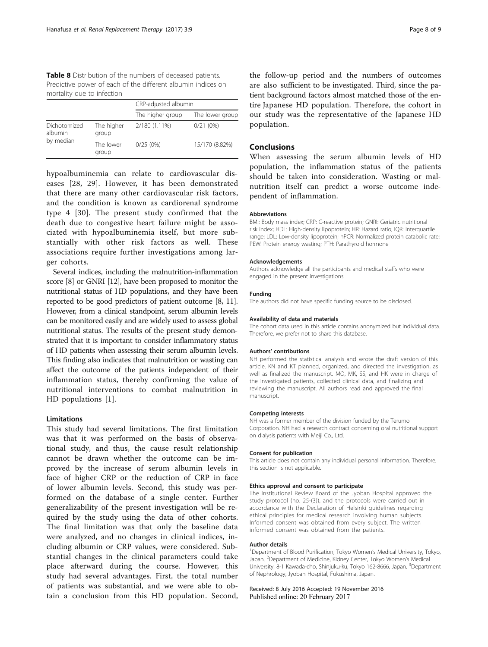<span id="page-7-0"></span>Table 8 Distribution of the numbers of deceased patients. Predictive power of each of the different albumin indices on mortality due to infection

|                         |                     | CRP-adjusted albumin |                 |
|-------------------------|---------------------|----------------------|-----------------|
|                         |                     | The higher group     | The lower group |
| Dichotomized<br>albumin | The higher<br>group | 2/180 (1.11%)        | 0/21(0%)        |
| by median               | The lower<br>group  | 0/25(0%)             | 15/170 (8.82%)  |

hypoalbuminemia can relate to cardiovascular diseases [[28](#page-8-0), [29\]](#page-8-0). However, it has been demonstrated that there are many other cardiovascular risk factors, and the condition is known as cardiorenal syndrome type 4 [[30\]](#page-8-0). The present study confirmed that the death due to congestive heart failure might be associated with hypoalbuminemia itself, but more substantially with other risk factors as well. These associations require further investigations among larger cohorts.

Several indices, including the malnutrition-inflammation score [\[8\]](#page-8-0) or GNRI [\[12](#page-8-0)], have been proposed to monitor the nutritional status of HD populations, and they have been reported to be good predictors of patient outcome [[8, 11](#page-8-0)]. However, from a clinical standpoint, serum albumin levels can be monitored easily and are widely used to assess global nutritional status. The results of the present study demonstrated that it is important to consider inflammatory status of HD patients when assessing their serum albumin levels. This finding also indicates that malnutrition or wasting can affect the outcome of the patients independent of their inflammation status, thereby confirming the value of nutritional interventions to combat malnutrition in HD populations [[1\]](#page-8-0).

## Limitations

This study had several limitations. The first limitation was that it was performed on the basis of observational study, and thus, the cause result relationship cannot be drawn whether the outcome can be improved by the increase of serum albumin levels in face of higher CRP or the reduction of CRP in face of lower albumin levels. Second, this study was performed on the database of a single center. Further generalizability of the present investigation will be required by the study using the data of other cohorts. The final limitation was that only the baseline data were analyzed, and no changes in clinical indices, including albumin or CRP values, were considered. Substantial changes in the clinical parameters could take place afterward during the course. However, this study had several advantages. First, the total number of patients was substantial, and we were able to obtain a conclusion from this HD population. Second, the follow-up period and the numbers of outcomes are also sufficient to be investigated. Third, since the patient background factors almost matched those of the entire Japanese HD population. Therefore, the cohort in our study was the representative of the Japanese HD population.

## Conclusions

When assessing the serum albumin levels of HD population, the inflammation status of the patients should be taken into consideration. Wasting or malnutrition itself can predict a worse outcome independent of inflammation.

#### **Abbreviations**

BMI: Body mass index; CRP: C-reactive protein; GNRI: Geriatric nutritional risk index; HDL: High-density lipoprotein; HR: Hazard ratio; IQR: Interquartile range; LDL: Low-density lipoprotein; nPCR: Normalized protein catabolic rate; PEW: Protein energy wasting; PTH: Parathyroid hormone

#### Acknowledgements

Authors acknowledge all the participants and medical staffs who were engaged in the present investigations.

#### Funding

The authors did not have specific funding source to be disclosed.

#### Availability of data and materials

The cohort data used in this article contains anonymized but individual data. Therefore, we prefer not to share this database.

#### Authors' contributions

NH performed the statistical analysis and wrote the draft version of this article. KN and KT planned, organized, and directed the investigation, as well as finalized the manuscript. MO, MK, SS, and HK were in charge of the investigated patients, collected clinical data, and finalizing and reviewing the manuscript. All authors read and approved the final manuscript.

#### Competing interests

NH was a former member of the division funded by the Terumo Corporation. NH had a research contract concerning oral nutritional support on dialysis patients with Meiji Co., Ltd.

#### Consent for publication

This article does not contain any individual personal information. Therefore, this section is not applicable.

#### Ethics approval and consent to participate

The Institutional Review Board of the Jyoban Hospital approved the study protocol (no. 25-(3)), and the protocols were carried out in accordance with the Declaration of Helsinki guidelines regarding ethical principles for medical research involving human subjects. Informed consent was obtained from every subject. The written informed consent was obtained from the patients.

#### Author details

<sup>1</sup>Department of Blood Purification, Tokyo Women's Medical University, Tokyo, Japan. <sup>2</sup>Department of Medicine, Kidney Center, Tokyo Women's Medical University, 8-1 Kawada-cho, Shinjuku-ku, Tokyo 162-8666, Japan. <sup>3</sup>Department of Nephrology, Jyoban Hospital, Fukushima, Japan.

Received: 8 July 2016 Accepted: 19 November 2016 Published online: 20 February 2017